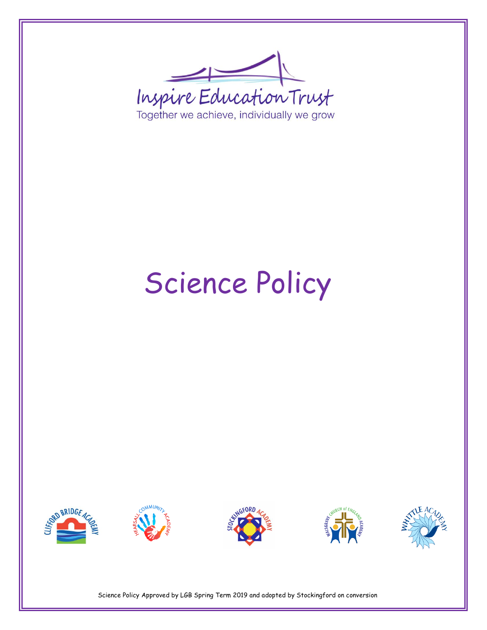

# Science Policy











Science Policy Approved by LGB Spring Term 2019 and adopted by Stockingford on conversion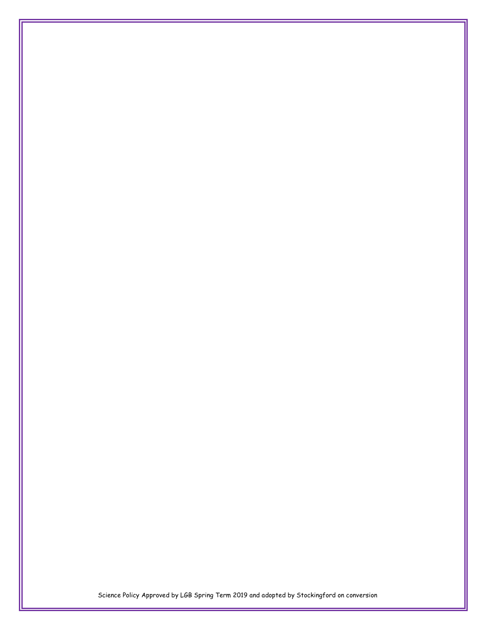Science Policy Approved by LGB Spring Term 2019 and adopted by Stockingford on conversion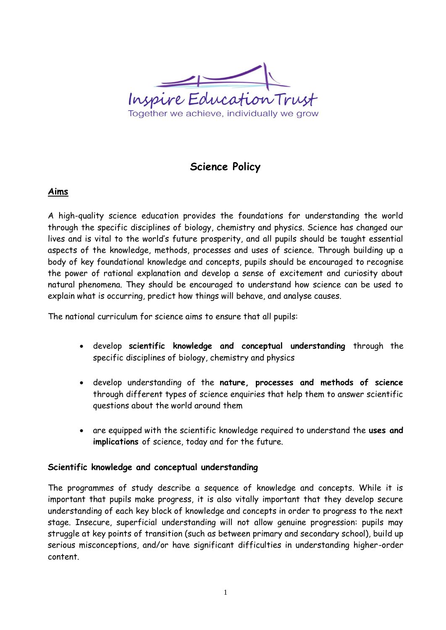

# **Science Policy**

# **Aims**

A high-quality science education provides the foundations for understanding the world through the specific disciplines of biology, chemistry and physics. Science has changed our lives and is vital to the world's future prosperity, and all pupils should be taught essential aspects of the knowledge, methods, processes and uses of science. Through building up a body of key foundational knowledge and concepts, pupils should be encouraged to recognise the power of rational explanation and develop a sense of excitement and curiosity about natural phenomena. They should be encouraged to understand how science can be used to explain what is occurring, predict how things will behave, and analyse causes.

The national curriculum for science aims to ensure that all pupils:

- develop **scientific knowledge and conceptual understanding** through the specific disciplines of biology, chemistry and physics
- develop understanding of the **nature, processes and methods of science**  through different types of science enquiries that help them to answer scientific questions about the world around them
- are equipped with the scientific knowledge required to understand the **uses and implications** of science, today and for the future.

# **Scientific knowledge and conceptual understanding**

The programmes of study describe a sequence of knowledge and concepts. While it is important that pupils make progress, it is also vitally important that they develop secure understanding of each key block of knowledge and concepts in order to progress to the next stage. Insecure, superficial understanding will not allow genuine progression: pupils may struggle at key points of transition (such as between primary and secondary school), build up serious misconceptions, and/or have significant difficulties in understanding higher-order content.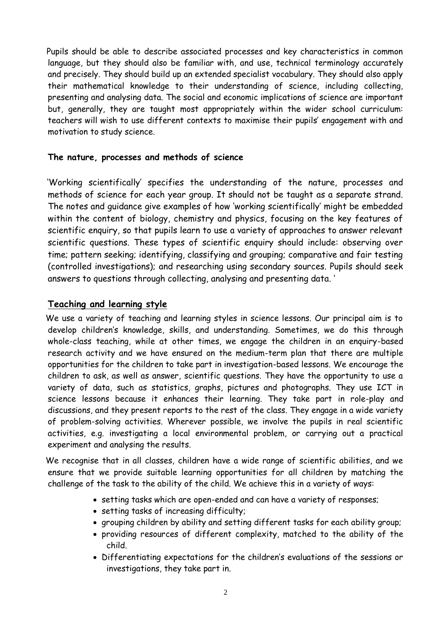Pupils should be able to describe associated processes and key characteristics in common language, but they should also be familiar with, and use, technical terminology accurately and precisely. They should build up an extended specialist vocabulary. They should also apply their mathematical knowledge to their understanding of science, including collecting, presenting and analysing data. The social and economic implications of science are important but, generally, they are taught most appropriately within the wider school curriculum: teachers will wish to use different contexts to maximise their pupils' engagement with and motivation to study science.

#### **The nature, processes and methods of science**

 'Working scientifically' specifies the understanding of the nature, processes and methods of science for each year group. It should not be taught as a separate strand. The notes and guidance give examples of how 'working scientifically' might be embedded within the content of biology, chemistry and physics, focusing on the key features of scientific enquiry, so that pupils learn to use a variety of approaches to answer relevant scientific questions. These types of scientific enquiry should include: observing over time; pattern seeking; identifying, classifying and grouping; comparative and fair testing (controlled investigations); and researching using secondary sources. Pupils should seek answers to questions through collecting, analysing and presenting data. '

# **Teaching and learning style**

 We use a variety of teaching and learning styles in science lessons. Our principal aim is to develop children's knowledge, skills, and understanding. Sometimes, we do this through whole-class teaching, while at other times, we engage the children in an enquiry-based research activity and we have ensured on the medium-term plan that there are multiple opportunities for the children to take part in investigation-based lessons. We encourage the children to ask, as well as answer, scientific questions. They have the opportunity to use a variety of data, such as statistics, graphs, pictures and photographs. They use ICT in science lessons because it enhances their learning. They take part in role-play and discussions, and they present reports to the rest of the class. They engage in a wide variety of problem-solving activities. Wherever possible, we involve the pupils in real scientific activities, e.g. investigating a local environmental problem, or carrying out a practical experiment and analysing the results.

 We recognise that in all classes, children have a wide range of scientific abilities, and we ensure that we provide suitable learning opportunities for all children by matching the challenge of the task to the ability of the child. We achieve this in a variety of ways:

- setting tasks which are open-ended and can have a variety of responses;
- setting tasks of increasing difficulty;
- grouping children by ability and setting different tasks for each ability group;
- providing resources of different complexity, matched to the ability of the child.
- Differentiating expectations for the children's evaluations of the sessions or investigations, they take part in.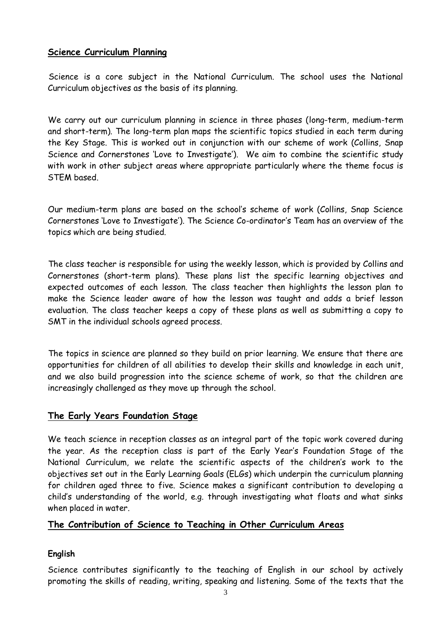# **Science Curriculum Planning**

 Science is a core subject in the National Curriculum. The school uses the National Curriculum objectives as the basis of its planning.

 We carry out our curriculum planning in science in three phases (long-term, medium-term and short-term). The long-term plan maps the scientific topics studied in each term during the Key Stage. This is worked out in conjunction with our scheme of work (Collins, Snap Science and Cornerstones 'Love to Investigate'). We aim to combine the scientific study with work in other subject areas where appropriate particularly where the theme focus is STEM based.

 Our medium-term plans are based on the school's scheme of work (Collins, Snap Science Cornerstones 'Love to Investigate'). The Science Co-ordinator's Team has an overview of the topics which are being studied.

 The class teacher is responsible for using the weekly lesson, which is provided by Collins and Cornerstones (short-term plans). These plans list the specific learning objectives and expected outcomes of each lesson. The class teacher then highlights the lesson plan to make the Science leader aware of how the lesson was taught and adds a brief lesson evaluation. The class teacher keeps a copy of these plans as well as submitting a copy to SMT in the individual schools agreed process.

 The topics in science are planned so they build on prior learning. We ensure that there are opportunities for children of all abilities to develop their skills and knowledge in each unit, and we also build progression into the science scheme of work, so that the children are increasingly challenged as they move up through the school.

# **The Early Years Foundation Stage**

We teach science in reception classes as an integral part of the topic work covered during the year. As the reception class is part of the Early Year's Foundation Stage of the National Curriculum, we relate the scientific aspects of the children's work to the objectives set out in the Early Learning Goals (ELGs) which underpin the curriculum planning for children aged three to five. Science makes a significant contribution to developing a child's understanding of the world, e.g. through investigating what floats and what sinks when placed in water.

# **The Contribution of Science to Teaching in Other Curriculum Areas**

# **English**

Science contributes significantly to the teaching of English in our school by actively promoting the skills of reading, writing, speaking and listening. Some of the texts that the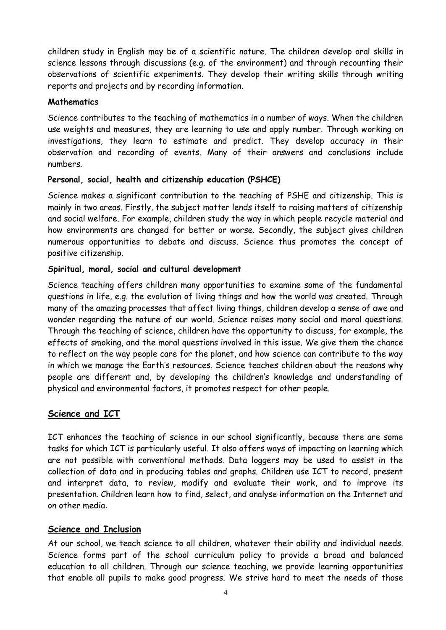children study in English may be of a scientific nature. The children develop oral skills in science lessons through discussions (e.g. of the environment) and through recounting their observations of scientific experiments. They develop their writing skills through writing reports and projects and by recording information.

#### **Mathematics**

Science contributes to the teaching of mathematics in a number of ways. When the children use weights and measures, they are learning to use and apply number. Through working on investigations, they learn to estimate and predict. They develop accuracy in their observation and recording of events. Many of their answers and conclusions include numbers.

#### **Personal, social, health and citizenship education (PSHCE)**

Science makes a significant contribution to the teaching of PSHE and citizenship. This is mainly in two areas. Firstly, the subject matter lends itself to raising matters of citizenship and social welfare. For example, children study the way in which people recycle material and how environments are changed for better or worse. Secondly, the subject gives children numerous opportunities to debate and discuss. Science thus promotes the concept of positive citizenship.

#### **Spiritual, moral, social and cultural development**

Science teaching offers children many opportunities to examine some of the fundamental questions in life, e.g. the evolution of living things and how the world was created. Through many of the amazing processes that affect living things, children develop a sense of awe and wonder regarding the nature of our world. Science raises many social and moral questions. Through the teaching of science, children have the opportunity to discuss, for example, the effects of smoking, and the moral questions involved in this issue. We give them the chance to reflect on the way people care for the planet, and how science can contribute to the way in which we manage the Earth's resources. Science teaches children about the reasons why people are different and, by developing the children's knowledge and understanding of physical and environmental factors, it promotes respect for other people.

# **Science and ICT**

ICT enhances the teaching of science in our school significantly, because there are some tasks for which ICT is particularly useful. It also offers ways of impacting on learning which are not possible with conventional methods. Data loggers may be used to assist in the collection of data and in producing tables and graphs. Children use ICT to record, present and interpret data, to review, modify and evaluate their work, and to improve its presentation. Children learn how to find, select, and analyse information on the Internet and on other media.

# **Science and Inclusion**

At our school, we teach science to all children, whatever their ability and individual needs. Science forms part of the school curriculum policy to provide a broad and balanced education to all children. Through our science teaching, we provide learning opportunities that enable all pupils to make good progress. We strive hard to meet the needs of those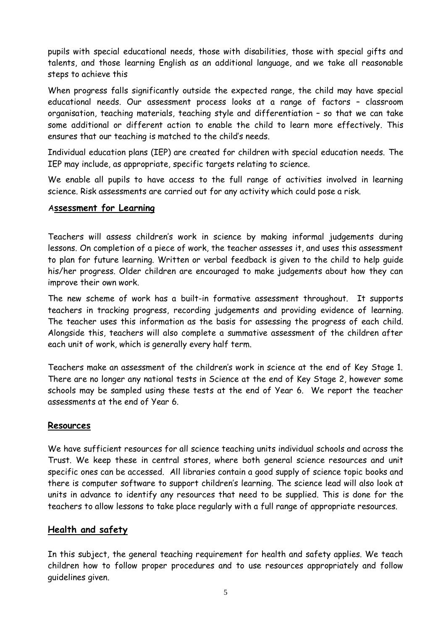pupils with special educational needs, those with disabilities, those with special gifts and talents, and those learning English as an additional language, and we take all reasonable steps to achieve this

When progress falls significantly outside the expected range, the child may have special educational needs. Our assessment process looks at a range of factors – classroom organisation, teaching materials, teaching style and differentiation – so that we can take some additional or different action to enable the child to learn more effectively. This ensures that our teaching is matched to the child's needs.

 Individual education plans (IEP) are created for children with special education needs. The IEP may include, as appropriate, specific targets relating to science.

We enable all pupils to have access to the full range of activities involved in learning science. Risk assessments are carried out for any activity which could pose a risk.

# A**ssessment for Learning**

Teachers will assess children's work in science by making informal judgements during lessons. On completion of a piece of work, the teacher assesses it, and uses this assessment to plan for future learning. Written or verbal feedback is given to the child to help guide his/her progress. Older children are encouraged to make judgements about how they can improve their own work.

The new scheme of work has a built-in formative assessment throughout. It supports teachers in tracking progress, recording judgements and providing evidence of learning. The teacher uses this information as the basis for assessing the progress of each child. Alongside this, teachers will also complete a summative assessment of the children after each unit of work, which is generally every half term.

Teachers make an assessment of the children's work in science at the end of Key Stage 1. There are no longer any national tests in Science at the end of Key Stage 2, however some schools may be sampled using these tests at the end of Year 6. We report the teacher assessments at the end of Year 6.

# **Resources**

We have sufficient resources for all science teaching units individual schools and across the Trust. We keep these in central stores, where both general science resources and unit specific ones can be accessed. All libraries contain a good supply of science topic books and there is computer software to support children's learning. The science lead will also look at units in advance to identify any resources that need to be supplied. This is done for the teachers to allow lessons to take place regularly with a full range of appropriate resources.

# **Health and safety**

In this subject, the general teaching requirement for health and safety applies. We teach children how to follow proper procedures and to use resources appropriately and follow guidelines given.